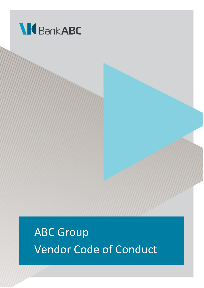

ABC Group Vendor Code of Conduct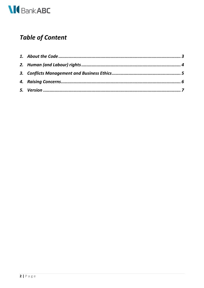

## **Table of Content**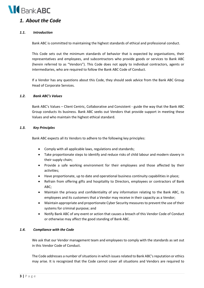

## <span id="page-2-0"></span>*1. About the Code*

#### *1.1. Introduction*

Bank ABC is committed to maintaining the highest standards of ethical and professional conduct.

This Code sets out the minimum standards of behavior that is expected by organisations, their representatives and employees, and subcontractors who provide goods or services to Bank ABC (herein referred to as "Vendors"). This Code does not apply to individual contractors, agents or intermediaries, who are required to follow the Bank ABC Code of Conduct.

If a Vendor has any questions about this Code, they should seek advice from the Bank ABC Group Head of Corporate Services.

#### *1.2. Bank ABC's Values*

Bank ABC's Values – Client Centric, Collaborative and Consistent - guide the way that the Bank ABC Group conducts its business. Bank ABC seeks out Vendors that provide support in meeting these Values and who maintain the highest ethical standard.

#### *1.3. Key Principles*

Bank ABC expects all its Vendors to adhere to the following key principles:

- Comply with all applicable laws, regulations and standards;
- Take proportionate steps to identify and reduce risks of child labour and modern slavery in their supply chain;
- Provide a safe working environment for their employees and those affected by their activities;
- Have proportionate, up to date and operational business continuity capabilities in place;
- Refrain from offering gifts and hospitality to Directors, employees or contractors of Bank ABC;
- Maintain the privacy and confidentiality of any information relating to the Bank ABC, its employees and its customers that a Vendor may receive in their capacity as a Vendor;
- Maintain appropriate and proportionate Cyber Security measures to prevent the use of their systems for criminal purpose; and
- Notify Bank ABC of any event or action that causes a breach of this Vendor Code of Conduct or otherwise may affect the good standing of Bank ABC.

#### *1.4. Compliance with the Code*

We ask that our Vendor management team and employees to comply with the standards as set out in this Vendor Code of Conduct.

The Code addresses a number of situations in which issues related to Bank ABC's reputation or ethics may arise. It is recognized that the Code cannot cover all situations and Vendors are required to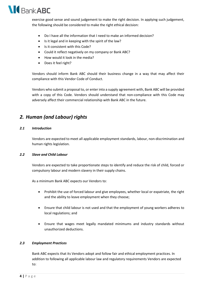

exercise good sense and sound judgement to make the right decision. In applying such judgement, the following should be considered to make the right ethical decision:

- Do I have all the information that I need to make an informed decision?
- Is it legal and in keeping with the spirit of the law?
- Is it consistent with this Code?
- Could it reflect negatively on my company or Bank ABC?
- How would it look in the media?
- Does it feel right?

Vendors should inform Bank ABC should their business change in a way that may affect their compliance with this Vendor Code of Conduct.

Vendors who submit a proposal to, or enter into a supply agreement with, Bank ABC will be provided with a copy of this Code. Vendors should understand that non-compliance with this Code may adversely affect their commercial relationship with Bank ABC in the future.

## <span id="page-3-0"></span>*2. Human (and Labour) rights*

#### *2.1 Introduction*

Vendors are expected to meet all applicable employment standards, labour, non-discrimination and human rights legislation.

#### *2.2 Slave and Child Labour*

Vendors are expected to take proportionate steps to identify and reduce the risk of child, forced or compulsory labour and modern slavery in their supply chains.

As a minimum Bank ABC expects our Vendors to:

- Prohibit the use of forced labour and give employees, whether local or expatriate, the right and the ability to leave employment when they choose;
- Ensure that child labour is not used and that the employment of young workers adheres to local regulations; and
- Ensure that wages meet legally mandated minimums and industry standards without unauthorized deductions.

#### *2.3 Employment Practices*

Bank ABC expects that its Vendors adopt and follow fair and ethical employment practices. In addition to following all applicable labour law and regulatory requirements Vendors are expected to: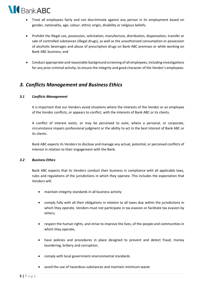

- Treat all employees fairly and not discriminate against any person in its employment based on gender, nationality, age, colour, ethnic origin, disability or religious beliefs;
- Prohibit the illegal use, possession, solicitation, manufacture, distribution, dispensation, transfer or sale of controlled substances (illegal drugs), as well as the unauthorized consumption or possession of alcoholic beverages and abuse of prescription drugs on Bank ABC premises or while working on Bank ABC business; and
- Conduct appropriate and reasonable background screening of all employees, including investigations for any prior criminal activity, to ensure the integrity and good character of the Vendor's employees.

## <span id="page-4-0"></span>*3. Conflicts Management and Business Ethics*

#### *3.1 Conflicts Management*

It is important that our Vendors avoid situations where the interests of the Vendor or an employee of the Vendor conflicts, or appears to conflict, with the interests of Bank ABC or its clients.

A conflict of interest exists, or may be perceived to exist, where a personal, or corporate, circumstance impairs professional judgment or the ability to act in the best interest of Bank ABC or its clients.

Bank ABC expects its Vendors to disclose and manage any actual, potential, or perceived conflicts of interest in relation to their engagement with the Bank.

#### *3.2 Business Ethics*

Bank ABC expects that its Vendors conduct their business in compliance with all applicable laws, rules and regulations of the jurisdictions in which they operate. This includes the expectation that Vendors will:

- maintain integrity standards in all business activity
- comply fully with all their obligations in relation to all taxes due within the jurisdictions in which they operate. Vendors must not participate in tax evasion or facilitate tax evasion by others;
- respect the human rights, and strive to improve the lives, of the people and communities in which they operate;
- have policies and procedures in place designed to prevent and detect fraud, money laundering, bribery and corruption;
- comply with local government environmental standards
- avoid the use of hazardous substances and maintain minimum waste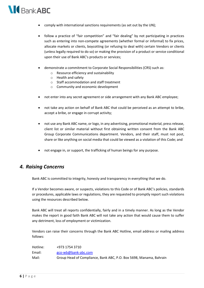# **M**BankABC

- comply with international sanctions requirements (as set out by the UN);
- follow a practice of "fair competition" and "fair dealing" by not participating in practices such as entering into non-compete agreements (whether formal or informal) to fix prices, allocate markets or clients, boycotting (or refusing to deal with) certain Vendors or clients (unless legally required to do so) or making the provision of a product or service conditional upon their use of Bank ABC's products or services;
- demonstrate a commitment to Corporate Social Responsibilities (CRS) such as:
	- o Resource efficiency and sustainability
	- o Health and safety
	- o Staff accommodation and staff treatment
	- o Community and economic development
- not enter into any secret agreement or side arrangement with any Bank ABC employee;
- not take any action on behalf of Bank ABC that could be perceived as an attempt to bribe, accept a bribe, or engage in corrupt activity;
- not use any Bank ABC name, or logo, in any advertising, promotional material, press release, client list or similar material without first obtaining written consent from the Bank ABC Group Corporate Communications department. Vendors, and their staff, must not post, share or like anything on social media that could be viewed as a violation of this Code; and
- not engage in, or support, the trafficking of human beings for any purpose.

## <span id="page-5-0"></span>*4. Raising Concerns*

Bank ABC is committed to integrity, honesty and transparency in everything that we do.

If a Vendor becomes aware, or suspects, violations to this Code or of Bank ABC's policies, standards or procedures, applicable laws or regulations, they are requested to promptly report such violations using the resources described below.

Bank ABC will treat all reports confidentially, fairly and in a timely manner. As long as the Vendor makes the report in good faith Bank ABC will not take any action that would cause them to suffer any detriment, loss of employment or victimization.

Vendors can raise their concerns through the Bank ABC Hotline, email address or mailing address follows:

| Hotline: | +973 1754 3710                                                     |
|----------|--------------------------------------------------------------------|
| Email:   | gco-wb@bank-abc.com                                                |
| Mail:    | Group Head of Compliance, Bank ABC, P.O. Box 5698, Manama, Bahrain |